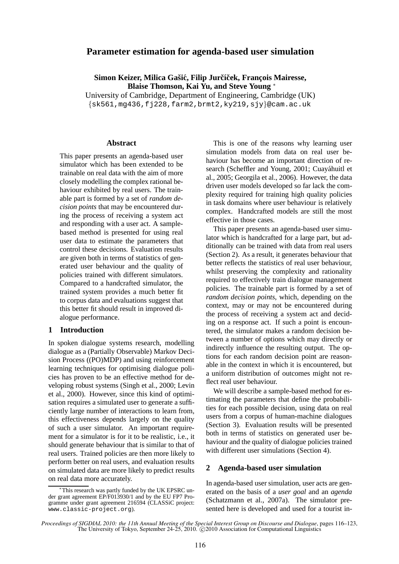# **Parameter estimation for agenda-based user simulation**

**Simon Keizer, Milica Gašić, Filip Jurčíček, François Mairesse, Blaise Thomson, Kai Yu, and Steve Young** <sup>∗</sup>

University of Cambridge, Department of Engineering, Cambridge (UK)  ${sks561, mg436, fj228, farm2,brmt2,ky219,sjy}\$ @cam.ac.uk

#### **Abstract**

This paper presents an agenda-based user simulator which has been extended to be trainable on real data with the aim of more closely modelling the complex rational behaviour exhibited by real users. The trainable part is formed by a set of *random decision points* that may be encountered during the process of receiving a system act and responding with a user act. A samplebased method is presented for using real user data to estimate the parameters that control these decisions. Evaluation results are given both in terms of statistics of generated user behaviour and the quality of policies trained with different simulators. Compared to a handcrafted simulator, the trained system provides a much better fit to corpus data and evaluations suggest that this better fit should result in improved dialogue performance.

### **1 Introduction**

In spoken dialogue systems research, modelling dialogue as a (Partially Observable) Markov Decision Process ((PO)MDP) and using reinforcement learning techniques for optimising dialogue policies has proven to be an effective method for developing robust systems (Singh et al., 2000; Levin et al., 2000). However, since this kind of optimisation requires a simulated user to generate a sufficiently large number of interactions to learn from, this effectiveness depends largely on the quality of such a user simulator. An important requirement for a simulator is for it to be realistic, i.e., it should generate behaviour that is similar to that of real users. Trained policies are then more likely to perform better on real users, and evaluation results on simulated data are more likely to predict results on real data more accurately.

This is one of the reasons why learning user simulation models from data on real user behaviour has become an important direction of research (Scheffler and Young, 2001; Cuayáhuitl et al., 2005; Georgila et al., 2006). However, the data driven user models developed so far lack the complexity required for training high quality policies in task domains where user behaviour is relatively complex. Handcrafted models are still the most effective in those cases.

This paper presents an agenda-based user simulator which is handcrafted for a large part, but additionally can be trained with data from real users (Section 2). As a result, it generates behaviour that better reflects the statistics of real user behaviour, whilst preserving the complexity and rationality required to effectively train dialogue management policies. The trainable part is formed by a set of *random decision points*, which, depending on the context, may or may not be encountered during the process of receiving a system act and deciding on a response act. If such a point is encountered, the simulator makes a random decision between a number of options which may directly or indirectly influence the resulting output. The options for each random decision point are reasonable in the context in which it is encountered, but a uniform distribution of outcomes might not reflect real user behaviour.

We will describe a sample-based method for estimating the parameters that define the probabilities for each possible decision, using data on real users from a corpus of human-machine dialogues (Section 3). Evaluation results will be presented both in terms of statistics on generated user behaviour and the quality of dialogue policies trained with different user simulations (Section 4).

#### **2 Agenda-based user simulation**

In agenda-based user simulation, user acts are generated on the basis of a *user goal* and an *agenda* (Schatzmann et al., 2007a). The simulator presented here is developed and used for a tourist in-

<sup>∗</sup>This research was partly funded by the UK EPSRC under grant agreement EP/F013930/1 and by the EU FP7 Programme under grant agreement 216594 (CLASSiC project: www.classic-project.org).

*Proceedings of SIGDIAL 2010: the 11th Annual Meeting of the Special Interest Group on Discourse and Dialogue*, pages 116–123, The University of Tokyo, September 24-25, 2010.  $\odot$  2010 Association for Computational Linguistics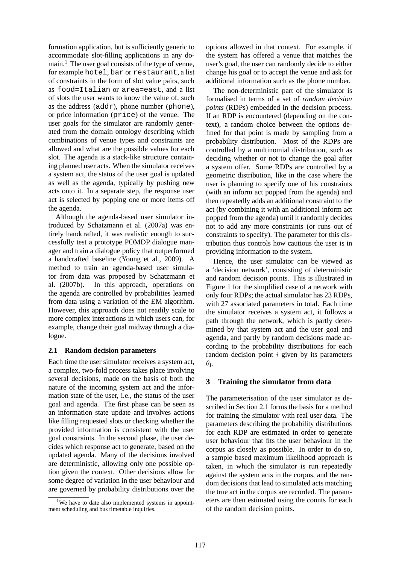formation application, but is sufficiently generic to accommodate slot-filling applications in any domain.<sup>1</sup> The user goal consists of the type of venue, for example hotel, bar or restaurant, a list of constraints in the form of slot value pairs, such as food=Italian or area=east, and a list of slots the user wants to know the value of, such as the address (addr), phone number (phone), or price information (price) of the venue. The user goals for the simulator are randomly generated from the domain ontology describing which combinations of venue types and constraints are allowed and what are the possible values for each slot. The agenda is a stack-like structure containing planned user acts. When the simulator receives a system act, the status of the user goal is updated as well as the agenda, typically by pushing new acts onto it. In a separate step, the response user act is selected by popping one or more items off the agenda.

Although the agenda-based user simulator introduced by Schatzmann et al. (2007a) was entirely handcrafted, it was realistic enough to successfully test a prototype POMDP dialogue manager and train a dialogue policy that outperformed a handcrafted baseline (Young et al., 2009). A method to train an agenda-based user simulator from data was proposed by Schatzmann et al. (2007b). In this approach, operations on the agenda are controlled by probabilities learned from data using a variation of the EM algorithm. However, this approach does not readily scale to more complex interactions in which users can, for example, change their goal midway through a dialogue.

## **2.1 Random decision parameters**

Each time the user simulator receives a system act, a complex, two-fold process takes place involving several decisions, made on the basis of both the nature of the incoming system act and the information state of the user, i.e., the status of the user goal and agenda. The first phase can be seen as an information state update and involves actions like filling requested slots or checking whether the provided information is consistent with the user goal constraints. In the second phase, the user decides which response act to generate, based on the updated agenda. Many of the decisions involved are deterministic, allowing only one possible option given the context. Other decisions allow for some degree of variation in the user behaviour and are governed by probability distributions over the options allowed in that context. For example, if the system has offered a venue that matches the user's goal, the user can randomly decide to either change his goal or to accept the venue and ask for additional information such as the phone number.

The non-deterministic part of the simulator is formalised in terms of a set of *random decision points* (RDPs) embedded in the decision process. If an RDP is encountered (depending on the context), a random choice between the options defined for that point is made by sampling from a probability distribution. Most of the RDPs are controlled by a multinomial distribution, such as deciding whether or not to change the goal after a system offer. Some RDPs are controlled by a geometric distribution, like in the case where the user is planning to specify one of his constraints (with an inform act popped from the agenda) and then repeatedly adds an additional constraint to the act (by combining it with an additional inform act popped from the agenda) until it randomly decides not to add any more constraints (or runs out of constraints to specify). The parameter for this distribution thus controls how cautious the user is in providing information to the system.

Hence, the user simulator can be viewed as a 'decision network', consisting of deterministic and random decision points. This is illustrated in Figure 1 for the simplified case of a network with only four RDPs; the actual simulator has 23 RDPs, with 27 associated parameters in total. Each time the simulator receives a system act, it follows a path through the network, which is partly determined by that system act and the user goal and agenda, and partly by random decisions made according to the probability distributions for each random decision point  $i$  given by its parameters  $\theta_{\bf i}$ .

## **3 Training the simulator from data**

The parameterisation of the user simulator as described in Section 2.1 forms the basis for a method for training the simulator with real user data. The parameters describing the probability distributions for each RDP are estimated in order to generate user behaviour that fits the user behaviour in the corpus as closely as possible. In order to do so, a sample based maximum likelihood approach is taken, in which the simulator is run repeatedly against the system acts in the corpus, and the random decisions that lead to simulated acts matching the true act in the corpus are recorded. The parameters are then estimated using the counts for each of the random decision points.

<sup>&</sup>lt;sup>1</sup>We have to date also implemented systems in appointment scheduling and bus timetable inquiries.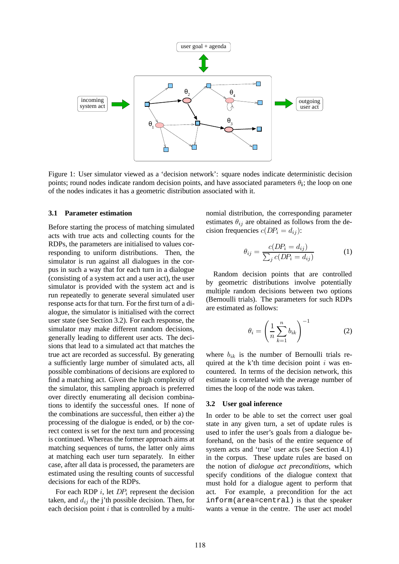

Figure 1: User simulator viewed as a 'decision network': square nodes indicate deterministic decision points; round nodes indicate random decision points, and have associated parameters  $\theta_i$ ; the loop on one of the nodes indicates it has a geometric distribution associated with it.

#### **3.1 Parameter estimation**

Before starting the process of matching simulated acts with true acts and collecting counts for the RDPs, the parameters are initialised to values corresponding to uniform distributions. Then, the simulator is run against all dialogues in the corpus in such a way that for each turn in a dialogue (consisting of a system act and a user act), the user simulator is provided with the system act and is run repeatedly to generate several simulated user response acts for that turn. For the first turn of a dialogue, the simulator is initialised with the correct user state (see Section 3.2). For each response, the simulator may make different random decisions, generally leading to different user acts. The decisions that lead to a simulated act that matches the true act are recorded as successful. By generating a sufficiently large number of simulated acts, all possible combinations of decisions are explored to find a matching act. Given the high complexity of the simulator, this sampling approach is preferred over directly enumerating all decision combinations to identify the successful ones. If none of the combinations are successful, then either a) the processing of the dialogue is ended, or b) the correct context is set for the next turn and processing is continued. Whereas the former approach aims at matching sequences of turns, the latter only aims at matching each user turn separately. In either case, after all data is processed, the parameters are estimated using the resulting counts of successful decisions for each of the RDPs.

For each RDP  $i$ , let  $DP_i$  represent the decision taken, and  $d_{ij}$  the j'th possible decision. Then, for each decision point  $i$  that is controlled by a multinomial distribution, the corresponding parameter estimates  $\theta_{ij}$  are obtained as follows from the decision frequencies  $c(DP_i = d_{ij})$ :

$$
\theta_{ij} = \frac{c(DP_i = d_{ij})}{\sum_j c(DP_i = d_{ij})}
$$
(1)

Random decision points that are controlled by geometric distributions involve potentially multiple random decisions between two options (Bernoulli trials). The parameters for such RDPs are estimated as follows:

$$
\theta_i = \left(\frac{1}{n}\sum_{k=1}^n b_{ik}\right)^{-1} \tag{2}
$$

where  $b_{ik}$  is the number of Bernoulli trials required at the k'th time decision point  $i$  was encountered. In terms of the decision network, this estimate is correlated with the average number of times the loop of the node was taken.

#### **3.2 User goal inference**

In order to be able to set the correct user goal state in any given turn, a set of update rules is used to infer the user's goals from a dialogue beforehand, on the basis of the entire sequence of system acts and 'true' user acts (see Section 4.1) in the corpus. These update rules are based on the notion of *dialogue act preconditions*, which specify conditions of the dialogue context that must hold for a dialogue agent to perform that act. For example, a precondition for the act inform(area=central) is that the speaker wants a venue in the centre. The user act model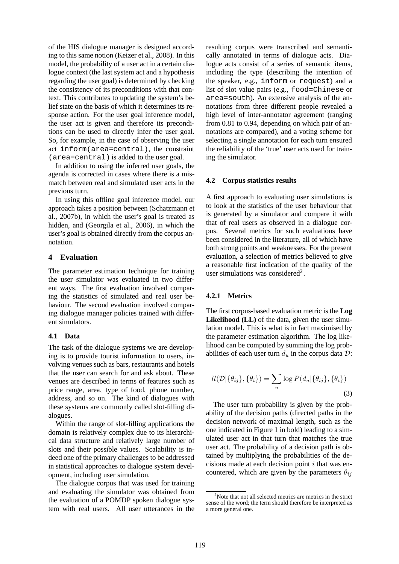of the HIS dialogue manager is designed according to this same notion (Keizer et al., 2008). In this model, the probability of a user act in a certain dialogue context (the last system act and a hypothesis regarding the user goal) is determined by checking the consistency of its preconditions with that context. This contributes to updating the system's belief state on the basis of which it determines its response action. For the user goal inference model, the user act is given and therefore its preconditions can be used to directly infer the user goal. So, for example, in the case of observing the user act inform(area=central), the constraint (area=central) is added to the user goal.

In addition to using the inferred user goals, the agenda is corrected in cases where there is a mismatch between real and simulated user acts in the previous turn.

In using this offline goal inference model, our approach takes a position between (Schatzmann et al., 2007b), in which the user's goal is treated as hidden, and (Georgila et al., 2006), in which the user's goal is obtained directly from the corpus annotation.

## **4 Evaluation**

The parameter estimation technique for training the user simulator was evaluated in two different ways. The first evaluation involved comparing the statistics of simulated and real user behaviour. The second evaluation involved comparing dialogue manager policies trained with different simulators.

#### **4.1 Data**

The task of the dialogue systems we are developing is to provide tourist information to users, involving venues such as bars, restaurants and hotels that the user can search for and ask about. These venues are described in terms of features such as price range, area, type of food, phone number, address, and so on. The kind of dialogues with these systems are commonly called slot-filling dialogues.

Within the range of slot-filling applications the domain is relatively complex due to its hierarchical data structure and relatively large number of slots and their possible values. Scalability is indeed one of the primary challenges to be addressed in statistical approaches to dialogue system development, including user simulation.

The dialogue corpus that was used for training and evaluating the simulator was obtained from the evaluation of a POMDP spoken dialogue system with real users. All user utterances in the resulting corpus were transcribed and semantically annotated in terms of dialogue acts. Dialogue acts consist of a series of semantic items, including the type (describing the intention of the speaker, e.g., inform or request) and a list of slot value pairs (e.g., food=Chinese or area=south). An extensive analysis of the annotations from three different people revealed a high level of inter-annotator agreement (ranging from 0.81 to 0.94, depending on which pair of annotations are compared), and a voting scheme for selecting a single annotation for each turn ensured the reliability of the 'true' user acts used for training the simulator.

## **4.2 Corpus statistics results**

A first approach to evaluating user simulations is to look at the statistics of the user behaviour that is generated by a simulator and compare it with that of real users as observed in a dialogue corpus. Several metrics for such evaluations have been considered in the literature, all of which have both strong points and weaknesses. For the present evaluation, a selection of metrics believed to give a reasonable first indication of the quality of the user simulations was considered<sup>2</sup>.

## **4.2.1 Metrics**

The first corpus-based evaluation metric is the **Log Likelihood (LL)** of the data, given the user simulation model. This is what is in fact maximised by the parameter estimation algorithm. The log likelihood can be computed by summing the log probabilities of each user turn  $d_u$  in the corpus data  $\mathcal{D}$ :

$$
ll(\mathcal{D}|\{\theta_{ij}\}, \{\theta_i\}) = \sum_{u} \log P(d_u|\{\theta_{ij}\}, \{\theta_i\})
$$
\n(3)

The user turn probability is given by the probability of the decision paths (directed paths in the decision network of maximal length, such as the one indicated in Figure 1 in bold) leading to a simulated user act in that turn that matches the true user act. The probability of a decision path is obtained by multiplying the probabilities of the decisions made at each decision point  $i$  that was encountered, which are given by the parameters  $\theta_{ij}$ 

 $2^2$ Note that not all selected metrics are metrics in the strict sense of the word; the term should therefore be interpreted as a more general one.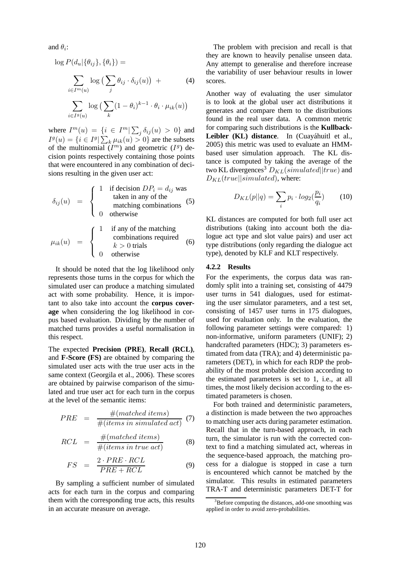and  $\theta_i$ :

$$
\log P(d_u | \{\theta_{ij}\}, \{\theta_i\}) =
$$
\n
$$
\sum_{i \in I^m(u)} \log \left( \sum_j \theta_{ij} \cdot \delta_{ij}(u) \right) +
$$
\n
$$
\sum_{i \in I^g(u)} \log \left( \sum_k (1 - \theta_i)^{k-1} \cdot \theta_i \cdot \mu_{ik}(u) \right)
$$
\n(4)

where  $I^m(u) = \{i \in I^m | \sum_j \delta_{ij}(u) > 0\}$  and  $I^g(u) = \{i \in I^g | \sum_k \mu_{ik}(u) > 0\}$  are the subsets of the multinomial  $(I^m)$  and geometric  $(I^g)$  decision points respectively containing those points that were encountered in any combination of decisions resulting in the given user act:

$$
\delta_{ij}(u) = \begin{cases}\n1 & \text{if decision } DP_i = d_{ij} \text{ was} \\
 & \text{taken in any of the} \\
 & \text{matching combinations} \\
0 & \text{otherwise}\n\end{cases}
$$
\n(5)

$$
\mu_{ik}(u) = \begin{cases}\n1 & \text{if any of the matching} \\
& \text{combinations required} \\
k > 0 \text{ trials} \\
0 & \text{otherwise}\n\end{cases}
$$
\n(6)

It should be noted that the log likelihood only represents those turns in the corpus for which the simulated user can produce a matching simulated act with some probability. Hence, it is important to also take into account the **corpus coverage** when considering the log likelihood in corpus based evaluation. Dividing by the number of matched turns provides a useful normalisation in this respect.

The expected **Precision (PRE)**, **Recall (RCL)**, and **F-Score (FS)** are obtained by comparing the simulated user acts with the true user acts in the same context (Georgila et al., 2006). These scores are obtained by pairwise comparison of the simulated and true user act for each turn in the corpus at the level of the semantic items:

$$
PRE = \frac{\#(matched\ items)}{\#(items\ in\ simulated\ act)} \tag{7}
$$

$$
RCL = \frac{\#(matched\ items)}{\#(items\ in\ true\ act)} \tag{8}
$$

$$
FS = \frac{2 \cdot PRE \cdot RCL}{PRE + RCL} \tag{9}
$$

By sampling a sufficient number of simulated acts for each turn in the corpus and comparing them with the corresponding true acts, this results in an accurate measure on average.

The problem with precision and recall is that they are known to heavily penalise unseen data. Any attempt to generalise and therefore increase the variability of user behaviour results in lower scores.

Another way of evaluating the user simulator is to look at the global user act distributions it generates and compare them to the distributions found in the real user data. A common metric for comparing such distributions is the **Kullback-**Leibler (KL) distance. In (Cuayáhuitl et al., 2005) this metric was used to evaluate an HMMbased user simulation approach. The KL distance is computed by taking the average of the two KL divergences<sup>3</sup>  $D_{KL}(simulated || true)$  and  $D_{KL}(true||simulated)$ , where:

$$
D_{KL}(p||q) = \sum_{i} p_i \cdot log_2(\frac{p_i}{q_i}) \tag{10}
$$

KL distances are computed for both full user act distributions (taking into account both the dialogue act type and slot value pairs) and user act type distributions (only regarding the dialogue act type), denoted by KLF and KLT respectively.

### **4.2.2 Results**

For the experiments, the corpus data was randomly split into a training set, consisting of 4479 user turns in 541 dialogues, used for estimating the user simulator parameters, and a test set, consisting of 1457 user turns in 175 dialogues, used for evaluation only. In the evaluation, the following parameter settings were compared: 1) non-informative, uniform parameters (UNIF); 2) handcrafted parameters (HDC); 3) parameters estimated from data (TRA); and 4) deterministic parameters (DET), in which for each RDP the probability of the most probable decision according to the estimated parameters is set to 1, i.e., at all times, the most likely decision according to the estimated parameters is chosen.

For both trained and deterministic parameters, a distinction is made between the two approaches to matching user acts during parameter estimation. Recall that in the turn-based approach, in each turn, the simulator is run with the corrected context to find a matching simulated act, whereas in the sequence-based approach, the matching process for a dialogue is stopped in case a turn is encountered which cannot be matched by the simulator. This results in estimated parameters TRA-T and deterministic parameters DET-T for

<sup>&</sup>lt;sup>3</sup>Before computing the distances, add-one smoothing was applied in order to avoid zero-probabilities.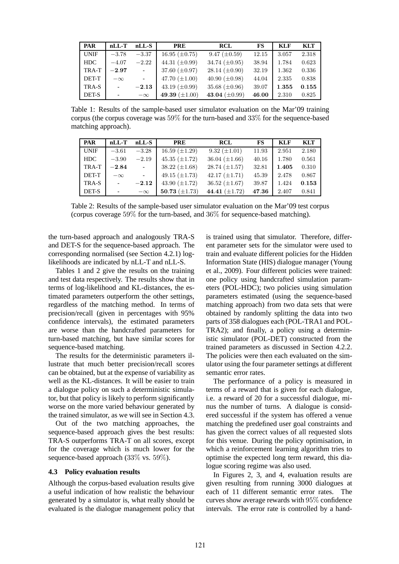| <b>PAR</b>  | $nLL-T$              | $nLL-S$                   | <b>PRE</b>           | <b>RCL</b>           | <b>FS</b> | <b>KLF</b> | KLT   |
|-------------|----------------------|---------------------------|----------------------|----------------------|-----------|------------|-------|
| <b>UNIF</b> | $-3.78$              | $-3.37$                   | $16.95 \ (\pm 0.75)$ | $9.47 \ (\pm 0.59)$  | 12.15     | 3.057      | 2.318 |
| <b>HDC</b>  | $-4.07$              | $-2.22$                   | 44.31 $(\pm 0.99)$   | 34.74 $(\pm 0.95)$   | 38.94     | 1.784      | 0.623 |
| TRA-T       | $-2.97$              | $\equiv$                  | 37.60 $(\pm 0.97)$   | $28.14 \ (\pm 0.90)$ | 32.19     | 1.362      | 0.336 |
| DET-T       | $-\infty$            | $\mathbb{L}^{\mathbb{N}}$ | 47.70 $(\pm 1.00)$   | 40.90 $(\pm 0.98)$   | 44.04     | 2.335      | 0.838 |
| TRA-S       | $\sim$               | $-2.13$                   | 43.19 $(\pm 0.99)$   | 35.68 $(\pm 0.96)$   | 39.07     | 1.355      | 0.155 |
| DET-S       | $\qquad \qquad \Box$ | $-\infty$                 | 49.39 $(\pm 1.00)$   | 43.04 $(\pm 0.99)$   | 46.00     | 2.310      | 0.825 |

Table 1: Results of the sample-based user simulator evaluation on the Mar'09 training corpus (the corpus coverage was 59% for the turn-based and 33% for the sequence-based matching approach).

| PAR          | $nLL-T$      | $nLL-S$        | <b>PRE</b>           | <b>RCL</b>           | FS    | <b>KLF</b> | <b>KLT</b> |
|--------------|--------------|----------------|----------------------|----------------------|-------|------------|------------|
| <b>UNIF</b>  | $-3.61$      | $-3.28$        | $16.59 \ (\pm 1.29)$ | $9.32 \ (\pm 1.01)$  | 11.93 | 2.951      | 2.180      |
| <b>HDC</b>   | $-3.90$      | $-2.19$        | 45.35 $(\pm 1.72)$   | 36.04 $(\pm 1.66)$   | 40.16 | 1.780      | 0.561      |
| TRA-T        | $-2.84$      | $\sim 10^{-1}$ | $38.22 \ (\pm 1.68)$ | $28.74 \ (\pm 1.57)$ | 32.81 | 1.405      | 0.310      |
| <b>DET-T</b> | $-\infty$    | $\mathcal{L}$  | 49.15 $(\pm 1.73)$   | $42.17 \ (\pm 1.71)$ | 45.39 | 2.478      | 0.867      |
| TRA-S        | $\mathbb{L}$ | $-2.12$        | 43.90 $(\pm 1.72)$   | 36.52 $(\pm 1.67)$   | 39.87 | 1.424      | 0.153      |
| DET-S        |              | $-\infty$      | 50.73 $(\pm 1.73)$   | 44.41 $(\pm 1.72)$   | 47.36 | 2.407      | 0.841      |

Table 2: Results of the sample-based user simulator evaluation on the Mar'09 test corpus (corpus coverage 59% for the turn-based, and 36% for sequence-based matching).

the turn-based approach and analogously TRA-S and DET-S for the sequence-based approach. The corresponding normalised (see Section 4.2.1) loglikelihoods are indicated by nLL-T and nLL-S.

Tables 1 and 2 give the results on the training and test data respectively. The results show that in terms of log-likelihood and KL-distances, the estimated parameters outperform the other settings, regardless of the matching method. In terms of precision/recall (given in percentages with 95% confidence intervals), the estimated parameters are worse than the handcrafted parameters for turn-based matching, but have similar scores for sequence-based matching.

The results for the deterministic parameters illustrate that much better precision/recall scores can be obtained, but at the expense of variability as well as the KL-distances. It will be easier to train a dialogue policy on such a deterministic simulator, but that policy is likely to perform significantly worse on the more varied behaviour generated by the trained simulator, as we will see in Section 4.3.

Out of the two matching approaches, the sequence-based approach gives the best results: TRA-S outperforms TRA-T on all scores, except for the coverage which is much lower for the sequence-based approach (33% vs. 59%).

#### **4.3 Policy evaluation results**

Although the corpus-based evaluation results give a useful indication of how realistic the behaviour generated by a simulator is, what really should be evaluated is the dialogue management policy that is trained using that simulator. Therefore, different parameter sets for the simulator were used to train and evaluate different policies for the Hidden Information State (HIS) dialogue manager (Young et al., 2009). Four different policies were trained: one policy using handcrafted simulation parameters (POL-HDC); two policies using simulation parameters estimated (using the sequence-based matching approach) from two data sets that were obtained by randomly splitting the data into two parts of 358 dialogues each (POL-TRA1 and POL-TRA2); and finally, a policy using a deterministic simulator (POL-DET) constructed from the trained parameters as discussed in Section 4.2.2. The policies were then each evaluated on the simulator using the four parameter settings at different semantic error rates.

The performance of a policy is measured in terms of a reward that is given for each dialogue, i.e. a reward of 20 for a successful dialogue, minus the number of turns. A dialogue is considered successful if the system has offered a venue matching the predefined user goal constraints and has given the correct values of all requested slots for this venue. During the policy optimisation, in which a reinforcement learning algorithm tries to optimise the expected long term reward, this dialogue scoring regime was also used.

In Figures 2, 3, and 4, evaluation results are given resulting from running 3000 dialogues at each of 11 different semantic error rates. The curves show average rewards with 95% confidence intervals. The error rate is controlled by a hand-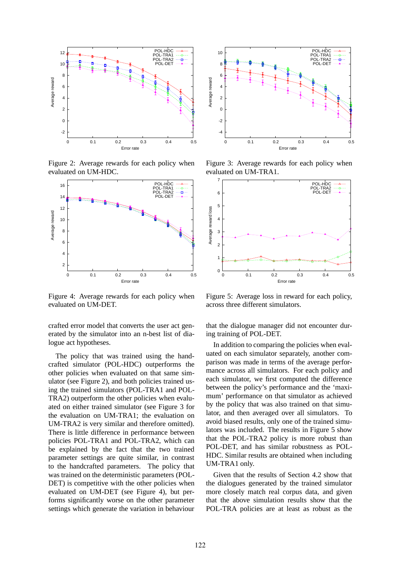

Figure 2: Average rewards for each policy when evaluated on UM-HDC.



Figure 4: Average rewards for each policy when evaluated on UM-DET.

crafted error model that converts the user act generated by the simulator into an n-best list of dialogue act hypotheses.

The policy that was trained using the handcrafted simulator (POL-HDC) outperforms the other policies when evaluated on that same simulator (see Figure 2), and both policies trained using the trained simulators (POL-TRA1 and POL-TRA2) outperform the other policies when evaluated on either trained simulator (see Figure 3 for the evaluation on UM-TRA1; the evaluation on UM-TRA2 is very similar and therefore omitted). There is little difference in performance between policies POL-TRA1 and POL-TRA2, which can be explained by the fact that the two trained parameter settings are quite similar, in contrast to the handcrafted parameters. The policy that was trained on the deterministic parameters (POL-DET) is competitive with the other policies when evaluated on UM-DET (see Figure 4), but performs significantly worse on the other parameter settings which generate the variation in behaviour



Figure 3: Average rewards for each policy when evaluated on UM-TRA1.



Figure 5: Average loss in reward for each policy, across three different simulators.

that the dialogue manager did not encounter during training of POL-DET.

In addition to comparing the policies when evaluated on each simulator separately, another comparison was made in terms of the average performance across all simulators. For each policy and each simulator, we first computed the difference between the policy's performance and the 'maximum' performance on that simulator as achieved by the policy that was also trained on that simulator, and then averaged over all simulators. To avoid biased results, only one of the trained simulators was included. The results in Figure 5 show that the POL-TRA2 policy is more robust than POL-DET, and has similar robustness as POL-HDC. Similar results are obtained when including UM-TRA1 only.

Given that the results of Section 4.2 show that the dialogues generated by the trained simulator more closely match real corpus data, and given that the above simulation results show that the POL-TRA policies are at least as robust as the